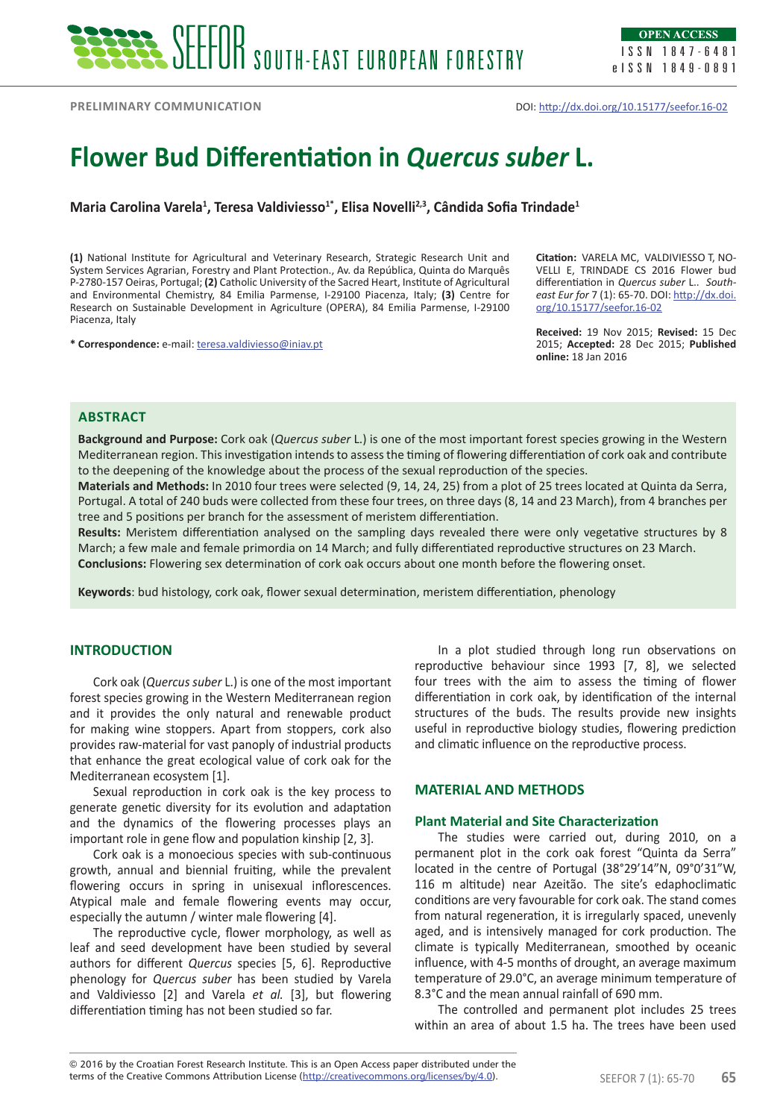**Preliminary communication**

DOI: http://dx.doi.org/10.15177/seefor.16-02

# **Flower Bud Differentiation in** *Quercus suber* **L.**

**Maria Carolina Varela<sup>1</sup> , Teresa Valdiviesso1\*, Elisa Novelli2,3, Cândida Sofia Trindade<sup>1</sup>**

**(1)** National Institute for Agricultural and Veterinary Research, Strategic Research Unit and System Services Agrarian, Forestry and Plant Protection., Av. da República, Quinta do Marquês P-2780-157 Oeiras, Portugal; **(2)** Catholic University of the Sacred Heart, Institute of Agricultural and Environmental Chemistry, 84 Emilia Parmense, I-29100 Piacenza, Italy; **(3)** Centre for Research on Sustainable Development in Agriculture (OPERA), 84 Emilia Parmense, I-29100 Piacenza, Italy

**\* Correspondence:** e-mail: teresa.valdiviesso@iniav.pt

**Citation:** VARELA MC, VALDIVIESSO T, NO-VELLI E, TRINDADE CS 2016 Flower bud differentiation in *Quercus suber* L.. *Southeast Eur for* 7 (1): 65-70. DOI: http://dx.doi. org/10.15177/seefor.16-02

**Received:** 19 Nov 2015; **Revised:** 15 Dec 2015; **Accepted:** 28 Dec 2015; **Published online:** 18 Jan 2016

# **Abstract**

**Background and Purpose:** Cork oak (*Quercus suber* L.) is one of the most important forest species growing in the Western Mediterranean region. This investigation intends to assess the timing of flowering differentiation of cork oak and contribute to the deepening of the knowledge about the process of the sexual reproduction of the species.

**Materials and Methods:** In 2010 four trees were selected (9, 14, 24, 25) from a plot of 25 trees located at Quinta da Serra, Portugal. A total of 240 buds were collected from these four trees, on three days (8, 14 and 23 March), from 4 branches per tree and 5 positions per branch for the assessment of meristem differentiation.

**Results:** Meristem differentiation analysed on the sampling days revealed there were only vegetative structures by 8 March; a few male and female primordia on 14 March; and fully differentiated reproductive structures on 23 March. **Conclusions:** Flowering sex determination of cork oak occurs about one month before the flowering onset.

**Keywords**: bud histology, cork oak, flower sexual determination, meristem differentiation, phenology

# **INTRODUCTION**

Cork oak (*Quercus suber* L.) is one of the most important forest species growing in the Western Mediterranean region and it provides the only natural and renewable product for making wine stoppers. Apart from stoppers, cork also provides raw-material for vast panoply of industrial products that enhance the great ecological value of cork oak for the Mediterranean ecosystem [1].

Sexual reproduction in cork oak is the key process to generate genetic diversity for its evolution and adaptation and the dynamics of the flowering processes plays an important role in gene flow and population kinship [2, 3].

Cork oak is a monoecious species with sub-continuous growth, annual and biennial fruiting, while the prevalent flowering occurs in spring in unisexual inflorescences. Atypical male and female flowering events may occur, especially the autumn / winter male flowering [4].

The reproductive cycle, flower morphology, as well as leaf and seed development have been studied by several authors for different *Quercus* species [5, 6]. Reproductive phenology for *Quercus suber* has been studied by Varela and Valdiviesso [2] and Varela *et al.* [3], but flowering differentiation timing has not been studied so far.

In a plot studied through long run observations on reproductive behaviour since 1993 [7, 8], we selected four trees with the aim to assess the timing of flower differentiation in cork oak, by identification of the internal structures of the buds. The results provide new insights useful in reproductive biology studies, flowering prediction and climatic influence on the reproductive process.

## **MATERIAL AND METHODS**

## **Plant Material and Site Characterization**

The studies were carried out, during 2010, on a permanent plot in the cork oak forest "Quinta da Serra" located in the centre of Portugal (38°29'14"N, 09°0'31"W, 116 m altitude) near Azeitão. The site's edaphoclimatic conditions are very favourable for cork oak. The stand comes from natural regeneration, it is irregularly spaced, unevenly aged, and is intensively managed for cork production. The climate is typically Mediterranean, smoothed by oceanic influence, with 4-5 months of drought, an average maximum temperature of 29.0°C, an average minimum temperature of 8.3°C and the mean annual rainfall of 690 mm.

The controlled and permanent plot includes 25 trees within an area of about 1.5 ha. The trees have been used

terms of the Creative Commons Attribution License (http://creativecommons.org/licenses/by/4.0). SEEFOR 7 (1): 65-70 65 © 2016 by the Croatian Forest Research Institute. This is an Open Access paper distributed under the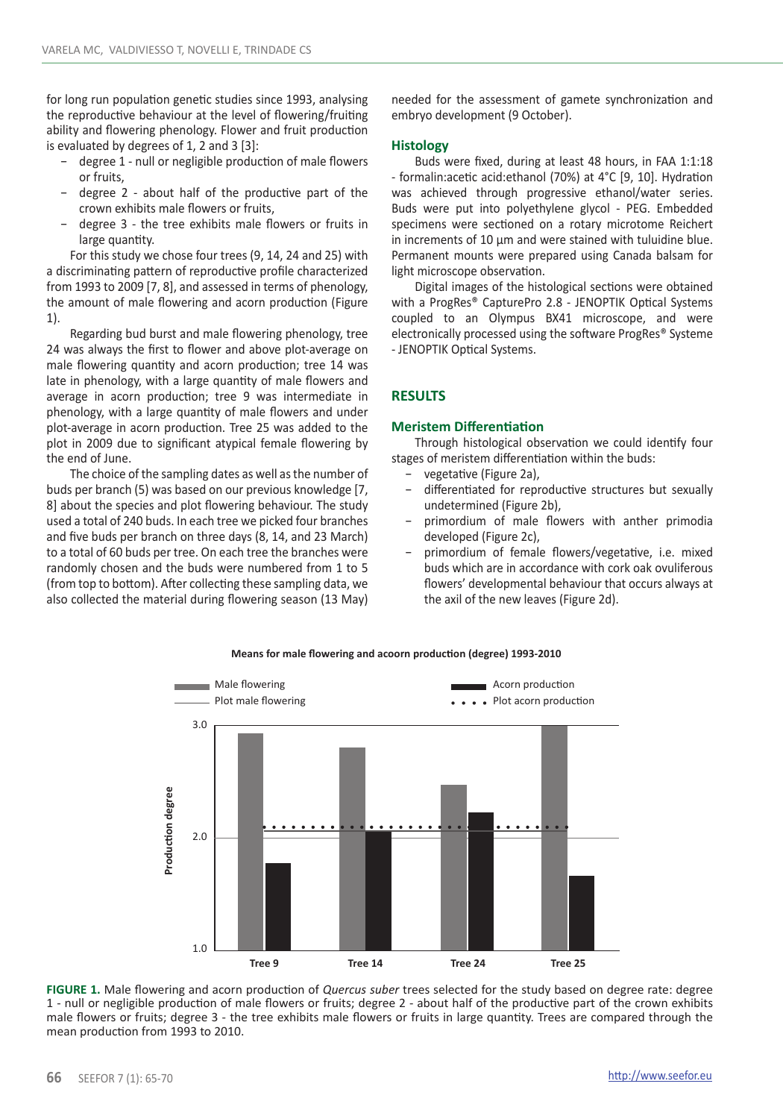for long run population genetic studies since 1993, analysing the reproductive behaviour at the level of flowering/fruiting ability and flowering phenology. Flower and fruit production is evaluated by degrees of 1, 2 and 3 [3]:

- − degree 1 null or negligible production of male flowers or fruits,
- − degree 2 about half of the productive part of the crown exhibits male flowers or fruits,
- − degree 3 the tree exhibits male flowers or fruits in large quantity.

For this study we chose four trees (9, 14, 24 and 25) with a discriminating pattern of reproductive profile characterized from 1993 to 2009 [7, 8], and assessed in terms of phenology, the amount of male flowering and acorn production (Figure 1).

Regarding bud burst and male flowering phenology, tree 24 was always the first to flower and above plot-average on male flowering quantity and acorn production; tree 14 was late in phenology, with a large quantity of male flowers and average in acorn production; tree 9 was intermediate in phenology, with a large quantity of male flowers and under plot-average in acorn production. Tree 25 was added to the plot in 2009 due to significant atypical female flowering by the end of June.

The choice of the sampling dates as well as the number of buds per branch (5) was based on our previous knowledge [7, 8] about the species and plot flowering behaviour. The study used a total of 240 buds. In each tree we picked four branches and five buds per branch on three days (8, 14, and 23 March) to a total of 60 buds per tree. On each tree the branches were randomly chosen and the buds were numbered from 1 to 5 (from top to bottom). After collecting these sampling data, we also collected the material during flowering season (13 May)

needed for the assessment of gamete synchronization and embryo development (9 October).

#### **Histology**

Buds were fixed, during at least 48 hours, in FAA 1:1:18 - formalin:acetic acid:ethanol (70%) at 4°C [9, 10]. Hydration was achieved through progressive ethanol/water series. Buds were put into polyethylene glycol - PEG. Embedded specimens were sectioned on a rotary microtome Reichert in increments of 10 µm and were stained with tuluidine blue. Permanent mounts were prepared using Canada balsam for light microscope observation.

Digital images of the histological sections were obtained with a ProgRes® CapturePro 2.8 - JENOPTIK Optical Systems coupled to an Olympus BX41 microscope, and were electronically processed using the software ProgRes® Systeme - JENOPTIK Optical Systems.

#### **RESULTS**

#### **Meristem Differentiation**

Through histological observation we could identify four stages of meristem differentiation within the buds:

- − vegetative (Figure 2a),
- − differentiated for reproductive structures but sexually undetermined (Figure 2b),
- primordium of male flowers with anther primodia developed (Figure 2c),
- − primordium of female flowers/vegetative, i.e. mixed buds which are in accordance with cork oak ovuliferous flowers' developmental behaviour that occurs always at the axil of the new leaves (Figure 2d).



#### **Means for male flowering and acoorn production (degree) 1993-2010**

**FIGURE 1.** Male flowering and acorn production of *Quercus suber* trees selected for the study based on degree rate: degree 1 - null or negligible production of male flowers or fruits; degree 2 - about half of the productive part of the crown exhibits male flowers or fruits; degree 3 - the tree exhibits male flowers or fruits in large quantity. Trees are compared through the mean production from 1993 to 2010.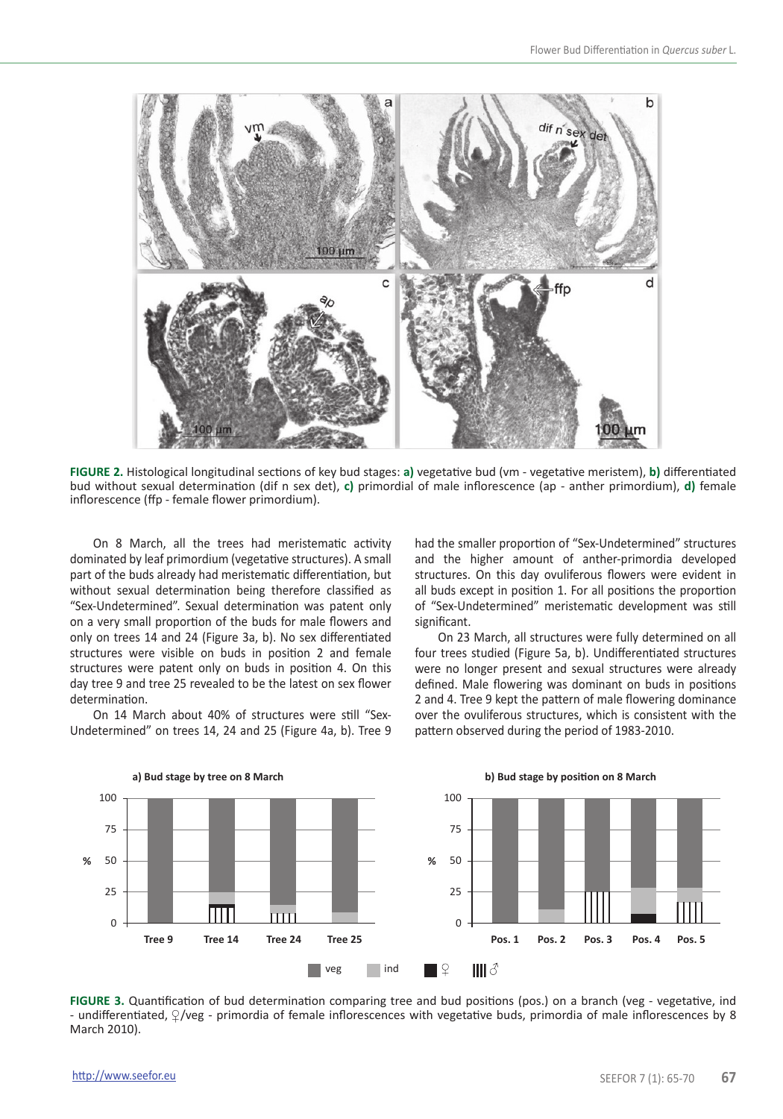

**FIGURE 2.** Histological longitudinal sections of key bud stages: **a)** vegetative bud (vm - vegetative meristem), **b)** differentiated bud without sexual determination (dif n sex det), **c)** primordial of male inflorescence (ap - anther primordium), **d)** female inflorescence (ffp - female flower primordium).

On 8 March, all the trees had meristematic activity dominated by leaf primordium (vegetative structures). A small part of the buds already had meristematic differentiation, but without sexual determination being therefore classified as "Sex-Undetermined". Sexual determination was patent only on a very small proportion of the buds for male flowers and only on trees 14 and 24 (Figure 3a, b). No sex differentiated structures were visible on buds in position 2 and female structures were patent only on buds in position 4. On this day tree 9 and tree 25 revealed to be the latest on sex flower determination.

On 14 March about 40% of structures were still "Sex-Undetermined" on trees 14, 24 and 25 (Figure 4a, b). Tree 9

had the smaller proportion of "Sex-Undetermined" structures and the higher amount of anther-primordia developed structures. On this day ovuliferous flowers were evident in all buds except in position 1. For all positions the proportion of "Sex-Undetermined" meristematic development was still significant.

On 23 March, all structures were fully determined on all four trees studied (Figure 5a, b). Undifferentiated structures were no longer present and sexual structures were already defined. Male flowering was dominant on buds in positions 2 and 4. Tree 9 kept the pattern of male flowering dominance over the ovuliferous structures, which is consistent with the pattern observed during the period of 1983-2010.



**FIGURE 3.** Quantification of bud determination comparing tree and bud positions (pos.) on a branch (veg - vegetative, ind - undifferentiated,  $\sqrt{2}/\text{veg}$  - primordia of female inflorescences with vegetative buds, primordia of male inflorescences by 8 March 2010).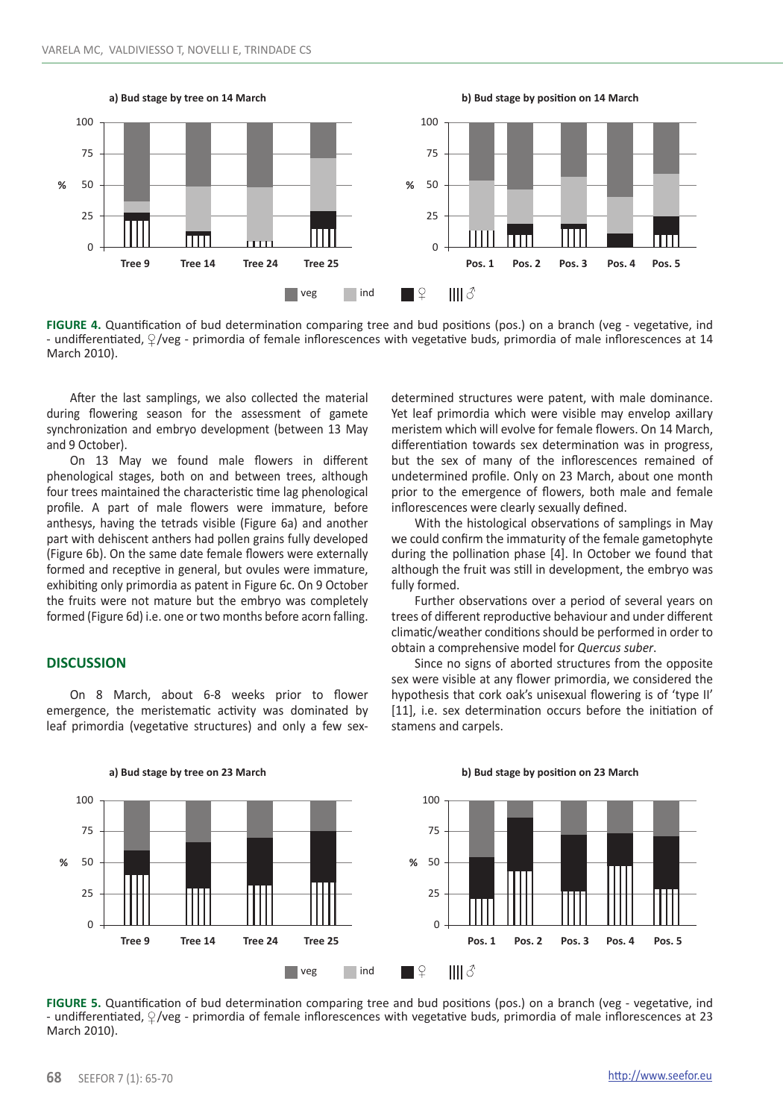

**FIGURE 4.** Quantification of bud determination comparing tree and bud positions (pos.) on a branch (veg - vegetative, ind - undifferentiated,  $\sqrt{2}/\text{veg}$  - primordia of female inflorescences with vegetative buds, primordia of male inflorescences at 14 March 2010).

After the last samplings, we also collected the material during flowering season for the assessment of gamete synchronization and embryo development (between 13 May and 9 October).

On 13 May we found male flowers in different phenological stages, both on and between trees, although four trees maintained the characteristic time lag phenological profile. A part of male flowers were immature, before anthesys, having the tetrads visible (Figure 6a) and another part with dehiscent anthers had pollen grains fully developed (Figure 6b). On the same date female flowers were externally formed and receptive in general, but ovules were immature, exhibiting only primordia as patent in Figure 6c. On 9 October the fruits were not mature but the embryo was completely formed (Figure 6d) i.e. one or two months before acorn falling.

#### **DISCUSSION**

On 8 March, about 6-8 weeks prior to flower emergence, the meristematic activity was dominated by leaf primordia (vegetative structures) and only a few sexdetermined structures were patent, with male dominance. Yet leaf primordia which were visible may envelop axillary meristem which will evolve for female flowers. On 14 March, differentiation towards sex determination was in progress, but the sex of many of the inflorescences remained of undetermined profile. Only on 23 March, about one month prior to the emergence of flowers, both male and female inflorescences were clearly sexually defined.

With the histological observations of samplings in May we could confirm the immaturity of the female gametophyte during the pollination phase [4]. In October we found that although the fruit was still in development, the embryo was fully formed.

Further observations over a period of several years on trees of different reproductive behaviour and under different climatic/weather conditions should be performed in order to obtain a comprehensive model for *Quercus suber*.

Since no signs of aborted structures from the opposite sex were visible at any flower primordia, we considered the hypothesis that cork oak's unisexual flowering is of 'type II' [11], i.e. sex determination occurs before the initiation of stamens and carpels.



**a) Bud stage by tree on 23 March b) Bud stage by position on 23 March**

**FIGURE 5.** Quantification of bud determination comparing tree and bud positions (pos.) on a branch (veg - vegetative, ind - undifferentiated,  $\frac{1}{2}$ /veg - primordia of female inflorescences with vegetative buds, primordia of male inflorescences at 23 March 2010).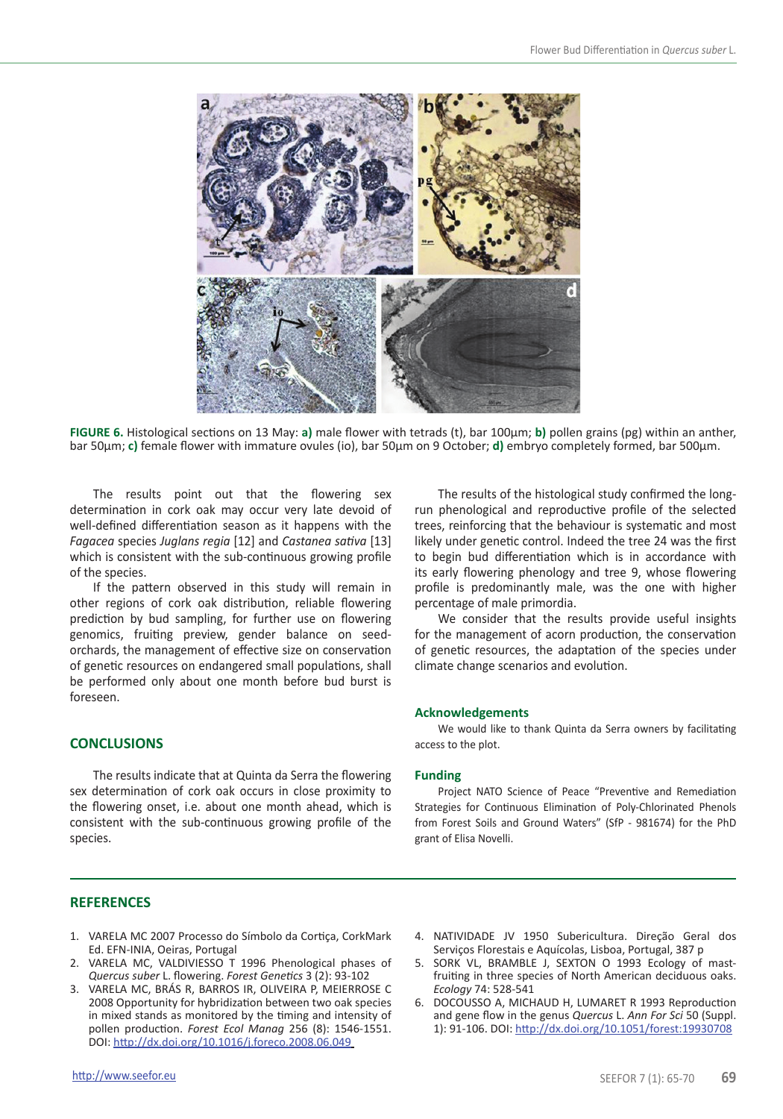

**FIGURE 6.** Histological sections on 13 May: **a)** male flower with tetrads (t), bar 100µm; **b)** pollen grains (pg) within an anther, bar 50µm; **c)** female flower with immature ovules (io), bar 50µm on 9 October; **d)** embryo completely formed, bar 500µm.

The results point out that the flowering sex determination in cork oak may occur very late devoid of well-defined differentiation season as it happens with the *Fagacea* species *Juglans regia* [12] and *Castanea sativa* [13] which is consistent with the sub-continuous growing profile of the species.

If the pattern observed in this study will remain in other regions of cork oak distribution, reliable flowering prediction by bud sampling, for further use on flowering genomics, fruiting preview, gender balance on seedorchards, the management of effective size on conservation of genetic resources on endangered small populations, shall be performed only about one month before bud burst is foreseen.

## **CONCLUSIONS**

The results indicate that at Quinta da Serra the flowering sex determination of cork oak occurs in close proximity to the flowering onset, i.e. about one month ahead, which is consistent with the sub-continuous growing profile of the species.

The results of the histological study confirmed the longrun phenological and reproductive profile of the selected trees, reinforcing that the behaviour is systematic and most likely under genetic control. Indeed the tree 24 was the first to begin bud differentiation which is in accordance with its early flowering phenology and tree 9, whose flowering profile is predominantly male, was the one with higher percentage of male primordia.

We consider that the results provide useful insights for the management of acorn production, the conservation of genetic resources, the adaptation of the species under climate change scenarios and evolution.

#### **Acknowledgements**

We would like to thank Quinta da Serra owners by facilitating access to the plot.

#### **Funding**

Project NATO Science of Peace "Preventive and Remediation Strategies for Continuous Elimination of Poly-Chlorinated Phenols from Forest Soils and Ground Waters" (SfP - 981674) for the PhD grant of Elisa Novelli.

#### **REFERENCES**

- 1. VARELA MC 2007 Processo do Símbolo da Cortiça, CorkMark Ed. EFN-INIA, Oeiras, Portugal
- 2. VARELA MC, VALDIVIESSO T 1996 Phenological phases of *Quercus suber* L. flowering. *Forest Genetics* 3 (2): 93-102
- 3. VARELA MC, BRÁS R, BARROS IR, OLIVEIRA P, MEIERROSE C 2008 Opportunity for hybridization between two oak species in mixed stands as monitored by the timing and intensity of pollen production. *Forest Ecol Manag* 256 (8): 1546-1551. DOI: http://dx.doi.org/10.1016/j.foreco.2008.06.049
- 4. NATIVIDADE JV 1950 Subericultura. Direção Geral dos Serviços Florestais e Aquícolas, Lisboa, Portugal, 387 p
- 5. SORK VL, BRAMBLE J, SEXTON O 1993 Ecology of mastfruiting in three species of North American deciduous oaks. *Ecology* 74: 528-541
- 6. DOCOUSSO A, MICHAUD H, LUMARET R 1993 Reproduction and gene flow in the genus *Quercus* L. *Ann For Sci* 50 (Suppl. 1): 91-106. DOI: http://dx.doi.org/10.1051/forest:19930708